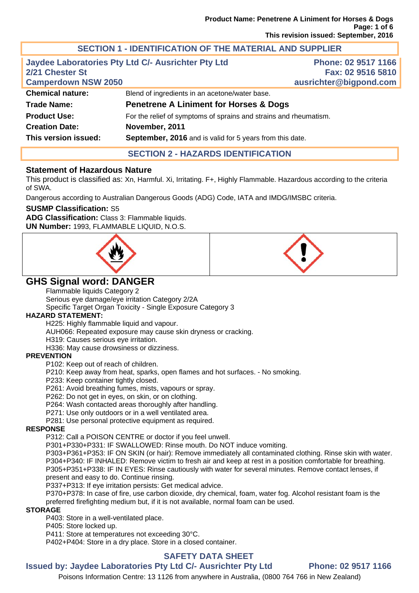# **SECTION 1 - IDENTIFICATION OF THE MATERIAL AND SUPPLIER**

| 2/21 Chester St<br><b>Camperdown NSW 2050</b> | Jaydee Laboratories Pty Ltd C/- Ausrichter Pty Ltd                | Phone: 02 9517 1166<br>Fax: 02 9516 5810<br>ausrichter@bigpond.com |
|-----------------------------------------------|-------------------------------------------------------------------|--------------------------------------------------------------------|
| <b>Chemical nature:</b>                       | Blend of ingredients in an acetone/water base.                    |                                                                    |
| <b>Trade Name:</b>                            | <b>Penetrene A Liniment for Horses &amp; Dogs</b>                 |                                                                    |
| <b>Product Use:</b>                           | For the relief of symptoms of sprains and strains and rheumatism. |                                                                    |
| <b>Creation Date:</b>                         | November, 2011                                                    |                                                                    |
| This version issued:                          | September, 2016 and is valid for 5 years from this date.          |                                                                    |

## **SECTION 2 - HAZARDS IDENTIFICATION**

#### **Statement of Hazardous Nature**

This product is classified as: Xn, Harmful. Xi, Irritating. F+, Highly Flammable. Hazardous according to the criteria of SWA.

Dangerous according to Australian Dangerous Goods (ADG) Code, IATA and IMDG/IMSBC criteria.

#### **SUSMP Classification:** S5

**ADG Classification:** Class 3: Flammable liquids.

**UN Number:** 1993, FLAMMABLE LIQUID, N.O.S.





# **GHS Signal word: DANGER**

Flammable liquids Category 2

Serious eye damage/eye irritation Category 2/2A

Specific Target Organ Toxicity - Single Exposure Category 3

#### **HAZARD STATEMENT:**

H225: Highly flammable liquid and vapour.

AUH066: Repeated exposure may cause skin dryness or cracking.

H319: Causes serious eye irritation.

H336: May cause drowsiness or dizziness.

#### **PREVENTION**

P102: Keep out of reach of children.

P210: Keep away from heat, sparks, open flames and hot surfaces. - No smoking.

P233: Keep container tightly closed.

P261: Avoid breathing fumes, mists, vapours or spray.

P262: Do not get in eyes, on skin, or on clothing.

P264: Wash contacted areas thoroughly after handling.

P271: Use only outdoors or in a well ventilated area.

P281: Use personal protective equipment as required.

#### **RESPONSE**

P312: Call a POISON CENTRE or doctor if you feel unwell.

P301+P330+P331: IF SWALLOWED: Rinse mouth. Do NOT induce vomiting.

P303+P361+P353: IF ON SKIN (or hair): Remove immediately all contaminated clothing. Rinse skin with water. P304+P340: IF INHALED: Remove victim to fresh air and keep at rest in a position comfortable for breathing. P305+P351+P338: IF IN EYES: Rinse cautiously with water for several minutes. Remove contact lenses, if present and easy to do. Continue rinsing.

P337+P313: If eye irritation persists: Get medical advice.

P370+P378: In case of fire, use carbon dioxide, dry chemical, foam, water fog. Alcohol resistant foam is the preferred firefighting medium but, if it is not available, normal foam can be used.

#### **STORAGE**

P403: Store in a well-ventilated place.

P405: Store locked up.

P411: Store at temperatures not exceeding 30°C.

P402+P404: Store in a dry place. Store in a closed container.

# **SAFETY DATA SHEET**

**Issued by: Jaydee Laboratories Pty Ltd C/- Ausrichter Pty Ltd Phone: 02 9517 1166**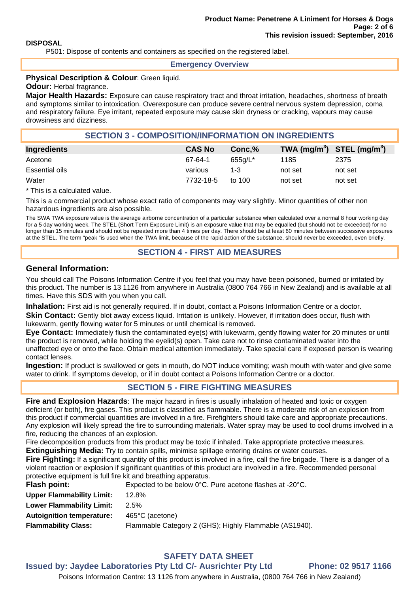#### **DISPOSAL**

P501: Dispose of contents and containers as specified on the registered label.

#### **Emergency Overview**

#### **Physical Description & Colour**: Green liquid.

#### **Odour:** Herbal fragrance.

**Major Health Hazards:** Exposure can cause respiratory tract and throat irritation, headaches, shortness of breath and symptoms similar to intoxication. Overexposure can produce severe central nervous system depression, coma and respiratory failure. Eye irritant, repeated exposure may cause skin dryness or cracking, vapours may cause drowsiness and dizziness.

#### **SECTION 3 - COMPOSITION/INFORMATION ON INGREDIENTS**

| Ingredients    | <b>CAS No</b> | Conc.%     | TWA (mg/m <sup>3</sup> ) STEL (mg/m <sup>3</sup> ) |         |
|----------------|---------------|------------|----------------------------------------------------|---------|
| Acetone        | 67-64-1       | $655a/L^*$ | 1185                                               | 2375    |
| Essential oils | various       | $1 - 3$    | not set                                            | not set |
| Water          | 7732-18-5     | to 100     | not set                                            | not set |

\* This is a calculated value.

This is a commercial product whose exact ratio of components may vary slightly. Minor quantities of other non hazardous ingredients are also possible.

The SWA TWA exposure value is the average airborne concentration of a particular substance when calculated over a normal 8 hour working day for a 5 day working week. The STEL (Short Term Exposure Limit) is an exposure value that may be equalled (but should not be exceeded) for no longer than 15 minutes and should not be repeated more than 4 times per day. There should be at least 60 minutes between successive exposures at the STEL. The term "peak "is used when the TWA limit, because of the rapid action of the substance, should never be exceeded, even briefly.

## **SECTION 4 - FIRST AID MEASURES**

#### **General Information:**

You should call The Poisons Information Centre if you feel that you may have been poisoned, burned or irritated by this product. The number is 13 1126 from anywhere in Australia (0800 764 766 in New Zealand) and is available at all times. Have this SDS with you when you call.

**Inhalation:** First aid is not generally required. If in doubt, contact a Poisons Information Centre or a doctor. **Skin Contact:** Gently blot away excess liquid. Irritation is unlikely. However, if irritation does occur, flush with lukewarm, gently flowing water for 5 minutes or until chemical is removed.

**Eye Contact:** Immediately flush the contaminated eye(s) with lukewarm, gently flowing water for 20 minutes or until the product is removed, while holding the eyelid(s) open. Take care not to rinse contaminated water into the unaffected eye or onto the face. Obtain medical attention immediately. Take special care if exposed person is wearing contact lenses.

**Ingestion:** If product is swallowed or gets in mouth, do NOT induce vomiting; wash mouth with water and give some water to drink. If symptoms develop, or if in doubt contact a Poisons Information Centre or a doctor.

#### **SECTION 5 - FIRE FIGHTING MEASURES**

**Fire and Explosion Hazards**: The major hazard in fires is usually inhalation of heated and toxic or oxygen deficient (or both), fire gases. This product is classified as flammable. There is a moderate risk of an explosion from this product if commercial quantities are involved in a fire. Firefighters should take care and appropriate precautions. Any explosion will likely spread the fire to surrounding materials. Water spray may be used to cool drums involved in a fire, reducing the chances of an explosion.

Fire decomposition products from this product may be toxic if inhaled. Take appropriate protective measures.

**Extinguishing Media:** Try to contain spills, minimise spillage entering drains or water courses.

**Fire Fighting:** If a significant quantity of this product is involved in a fire, call the fire brigade. There is a danger of a violent reaction or explosion if significant quantities of this product are involved in a fire. Recommended personal protective equipment is full fire kit and breathing apparatus.

| <b>Flash point:</b>              | Expected to be below $0^{\circ}$ C. Pure acetone flashes at -20 $^{\circ}$ C. |
|----------------------------------|-------------------------------------------------------------------------------|
| <b>Upper Flammability Limit:</b> | 12.8%                                                                         |
| <b>Lower Flammability Limit:</b> | 2.5%                                                                          |
| <b>Autoignition temperature:</b> | 465°C (acetone)                                                               |
| <b>Flammability Class:</b>       | Flammable Category 2 (GHS); Highly Flammable (AS1940).                        |

# **SAFETY DATA SHEET**

#### **Issued by: Jaydee Laboratories Pty Ltd C/- Ausrichter Pty Ltd Phone: 02 9517 1166**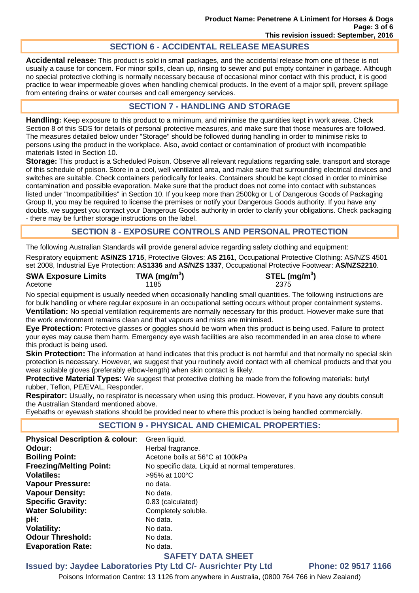# **SECTION 6 - ACCIDENTAL RELEASE MEASURES**

**Accidental release:** This product is sold in small packages, and the accidental release from one of these is not usually a cause for concern. For minor spills, clean up, rinsing to sewer and put empty container in garbage. Although no special protective clothing is normally necessary because of occasional minor contact with this product, it is good practice to wear impermeable gloves when handling chemical products. In the event of a major spill, prevent spillage from entering drains or water courses and call emergency services.

## **SECTION 7 - HANDLING AND STORAGE**

**Handling:** Keep exposure to this product to a minimum, and minimise the quantities kept in work areas. Check Section 8 of this SDS for details of personal protective measures, and make sure that those measures are followed. The measures detailed below under "Storage" should be followed during handling in order to minimise risks to persons using the product in the workplace. Also, avoid contact or contamination of product with incompatible materials listed in Section 10.

**Storage:** This product is a Scheduled Poison. Observe all relevant regulations regarding sale, transport and storage of this schedule of poison. Store in a cool, well ventilated area, and make sure that surrounding electrical devices and switches are suitable. Check containers periodically for leaks. Containers should be kept closed in order to minimise contamination and possible evaporation. Make sure that the product does not come into contact with substances listed under "Incompatibilities" in Section 10. If you keep more than 2500kg or L of Dangerous Goods of Packaging Group II, you may be required to license the premises or notify your Dangerous Goods authority. If you have any doubts, we suggest you contact your Dangerous Goods authority in order to clarify your obligations. Check packaging - there may be further storage instructions on the label.

# **SECTION 8 - EXPOSURE CONTROLS AND PERSONAL PROTECTION**

The following Australian Standards will provide general advice regarding safety clothing and equipment:

Respiratory equipment: **AS/NZS 1715**, Protective Gloves: **AS 2161**, Occupational Protective Clothing: AS/NZS 4501 set 2008, Industrial Eye Protection: **AS1336** and **AS/NZS 1337**, Occupational Protective Footwear: **AS/NZS2210**.

| <b>SWA Exposure Limits</b> | TWA (mg/m $3$ ) | STEL (mg/m $3$ ) |
|----------------------------|-----------------|------------------|
| Acetone                    | 1185            | 2375             |

No special equipment is usually needed when occasionally handling small quantities. The following instructions are for bulk handling or where regular exposure in an occupational setting occurs without proper containment systems. **Ventilation:** No special ventilation requirements are normally necessary for this product. However make sure that the work environment remains clean and that vapours and mists are minimised.

**Eye Protection:** Protective glasses or goggles should be worn when this product is being used. Failure to protect your eyes may cause them harm. Emergency eye wash facilities are also recommended in an area close to where this product is being used.

**Skin Protection:** The information at hand indicates that this product is not harmful and that normally no special skin protection is necessary. However, we suggest that you routinely avoid contact with all chemical products and that you wear suitable gloves (preferably elbow-length) when skin contact is likely.

**Protective Material Types:** We suggest that protective clothing be made from the following materials: butyl rubber, Teflon, PE/EVAL, Responder.

**Respirator:** Usually, no respirator is necessary when using this product. However, if you have any doubts consult the Australian Standard mentioned above.

Eyebaths or eyewash stations should be provided near to where this product is being handled commercially.

#### **SECTION 9 - PHYSICAL AND CHEMICAL PROPERTIES:**

| <b>Physical Description &amp; colour:</b><br>Odour:<br><b>Boiling Point:</b><br><b>Freezing/Melting Point:</b> | Green liquid.<br>Herbal fragrance.<br>Acetone boils at 56°C at 100kPa<br>No specific data. Liquid at normal temperatures. |
|----------------------------------------------------------------------------------------------------------------|---------------------------------------------------------------------------------------------------------------------------|
| <b>Volatiles:</b>                                                                                              | >95% at 100°C                                                                                                             |
| <b>Vapour Pressure:</b>                                                                                        | no data.                                                                                                                  |
| <b>Vapour Density:</b>                                                                                         | No data.                                                                                                                  |
| <b>Specific Gravity:</b>                                                                                       | 0.83 (calculated)                                                                                                         |
| <b>Water Solubility:</b>                                                                                       | Completely soluble.                                                                                                       |
| pH:                                                                                                            | No data.                                                                                                                  |
| <b>Volatility:</b>                                                                                             | No data.                                                                                                                  |
| <b>Odour Threshold:</b>                                                                                        | No data.                                                                                                                  |
| <b>Evaporation Rate:</b>                                                                                       | No data.                                                                                                                  |

#### **SAFETY DATA SHEET**

#### **Issued by: Jaydee Laboratories Pty Ltd C/- Ausrichter Pty Ltd Phone: 02 9517 1166**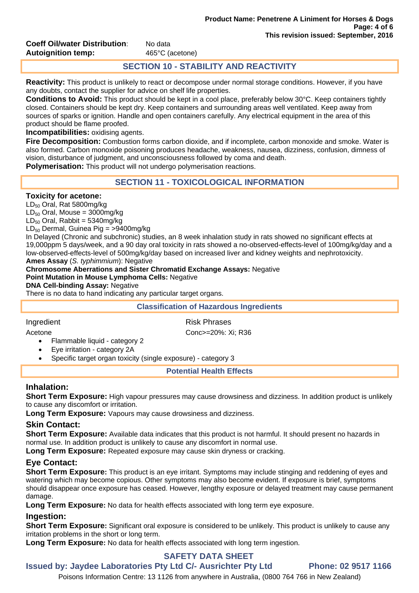**Coeff Oil/water Distribution:** No data **Autoignition temp:** 465°C (acetone)

# **SECTION 10 - STABILITY AND REACTIVITY**

**Reactivity:** This product is unlikely to react or decompose under normal storage conditions. However, if you have any doubts, contact the supplier for advice on shelf life properties.

**Conditions to Avoid:** This product should be kept in a cool place, preferably below 30°C. Keep containers tightly closed. Containers should be kept dry. Keep containers and surrounding areas well ventilated. Keep away from sources of sparks or ignition. Handle and open containers carefully. Any electrical equipment in the area of this product should be flame proofed.

**Incompatibilities:** oxidising agents.

**Fire Decomposition:** Combustion forms carbon dioxide, and if incomplete, carbon monoxide and smoke. Water is also formed. Carbon monoxide poisoning produces headache, weakness, nausea, dizziness, confusion, dimness of vision, disturbance of judgment, and unconsciousness followed by coma and death.

**Polymerisation:** This product will not undergo polymerisation reactions.

## **SECTION 11 - TOXICOLOGICAL INFORMATION**

#### **Toxicity for acetone:**

LD50 Oral, Rat 5800mg/kg

 $LD_{50}$  Oral, Mouse = 3000mg/kg

 $LD_{50}$  Oral, Rabbit = 5340mg/kg

 $LD_{50}$  Dermal, Guinea Pig = >9400mg/kg

In Delayed (Chronic and subchronic) studies, an 8 week inhalation study in rats showed no significant effects at 19,000ppm 5 days/week, and a 90 day oral toxicity in rats showed a no-observed-effects-level of 100mg/kg/day and a low-observed-effects-level of 500mg/kg/day based on increased liver and kidney weights and nephrotoxicity. **Ames Assay** (*S. typhimmium*): Negative

**Chromosome Aberrations and Sister Chromatid Exchange Assays:** Negative

**Point Mutation in Mouse Lymphoma Cells:** Negative

**DNA Cell-binding Assay:** Negative

There is no data to hand indicating any particular target organs.

#### **Classification of Hazardous Ingredients**

Ingredient **Risk Phrases** 

Acetone Conc>=20%: Xi: R36 • Flammable liquid - category 2

Eye irritation - category 2A

Specific target organ toxicity (single exposure) - category 3

**Potential Health Effects** 

#### **Inhalation:**

**Short Term Exposure:** High vapour pressures may cause drowsiness and dizziness. In addition product is unlikely to cause any discomfort or irritation.

**Long Term Exposure:** Vapours may cause drowsiness and dizziness.

# **Skin Contact:**

**Short Term Exposure:** Available data indicates that this product is not harmful. It should present no hazards in normal use. In addition product is unlikely to cause any discomfort in normal use.

**Long Term Exposure:** Repeated exposure may cause skin dryness or cracking.

# **Eye Contact:**

**Short Term Exposure:** This product is an eye irritant. Symptoms may include stinging and reddening of eyes and watering which may become copious. Other symptoms may also become evident. If exposure is brief, symptoms should disappear once exposure has ceased. However, lengthy exposure or delayed treatment may cause permanent damage.

Long Term Exposure: No data for health effects associated with long term eye exposure.

#### **Ingestion:**

**Short Term Exposure:** Significant oral exposure is considered to be unlikely. This product is unlikely to cause any irritation problems in the short or long term.

**Long Term Exposure:** No data for health effects associated with long term ingestion.

# **SAFETY DATA SHEET**

**Issued by: Jaydee Laboratories Pty Ltd C/- Ausrichter Pty Ltd Phone: 02 9517 1166**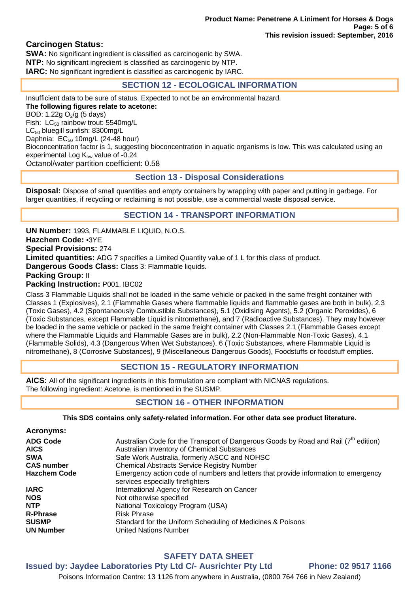# **Carcinogen Status:**

**SWA:** No significant ingredient is classified as carcinogenic by SWA. **NTP:** No significant ingredient is classified as carcinogenic by NTP. **IARC:** No significant ingredient is classified as carcinogenic by IARC.

#### **SECTION 12 - ECOLOGICAL INFORMATION**

Insufficient data to be sure of status. Expected to not be an environmental hazard. **The following figures relate to acetone:**  BOD: 1.22g  $O_2$ /g (5 days) Fish:  $LC_{50}$  rainbow trout: 5540mg/L LC<sub>50</sub> bluegill sunfish: 8300mg/L Daphnia:  $EC_{50}$  10mg/L (24-48 hour) Bioconcentration factor is 1, suggesting bioconcentration in aquatic organisms is low. This was calculated using an experimental Log  $K_{ow}$  value of -0.24 Octanol/water partition coefficient: 0.58

## **Section 13 - Disposal Considerations**

**Disposal:** Dispose of small quantities and empty containers by wrapping with paper and putting in garbage. For larger quantities, if recycling or reclaiming is not possible, use a commercial waste disposal service.

## **SECTION 14 - TRANSPORT INFORMATION**

**UN Number:** 1993, FLAMMABLE LIQUID, N.O.S. **Hazchem Code:** •3YE **Special Provisions:** 274 **Limited quantities:** ADG 7 specifies a Limited Quantity value of 1 L for this class of product. **Dangerous Goods Class:** Class 3: Flammable liquids. **Packing Group:** II **Packing Instruction:** P001, IBC02

Class 3 Flammable Liquids shall not be loaded in the same vehicle or packed in the same freight container with Classes 1 (Explosives), 2.1 (Flammable Gases where flammable liquids and flammable gases are both in bulk), 2.3 (Toxic Gases), 4.2 (Spontaneously Combustible Substances), 5.1 (Oxidising Agents), 5.2 (Organic Peroxides), 6 (Toxic Substances, except Flammable Liquid is nitromethane), and 7 (Radioactive Substances). They may however be loaded in the same vehicle or packed in the same freight container with Classes 2.1 (Flammable Gases except where the Flammable Liquids and Flammable Gases are in bulk), 2.2 (Non-Flammable Non-Toxic Gases), 4.1 (Flammable Solids), 4.3 (Dangerous When Wet Substances), 6 (Toxic Substances, where Flammable Liquid is nitromethane), 8 (Corrosive Substances), 9 (Miscellaneous Dangerous Goods), Foodstuffs or foodstuff empties.

# **SECTION 15 - REGULATORY INFORMATION**

**AICS:** All of the significant ingredients in this formulation are compliant with NICNAS regulations. The following ingredient: Acetone, is mentioned in the SUSMP.

# **SECTION 16 - OTHER INFORMATION**

**This SDS contains only safety-related information. For other data see product literature.** 

| Acronyms:           |                                                                                                                        |
|---------------------|------------------------------------------------------------------------------------------------------------------------|
| <b>ADG Code</b>     | Australian Code for the Transport of Dangerous Goods by Road and Rail $(7th$ edition)                                  |
| <b>AICS</b>         | Australian Inventory of Chemical Substances                                                                            |
| <b>SWA</b>          | Safe Work Australia, formerly ASCC and NOHSC                                                                           |
| <b>CAS number</b>   | <b>Chemical Abstracts Service Registry Number</b>                                                                      |
| <b>Hazchem Code</b> | Emergency action code of numbers and letters that provide information to emergency<br>services especially firefighters |
| <b>IARC</b>         | International Agency for Research on Cancer                                                                            |
| <b>NOS</b>          | Not otherwise specified                                                                                                |
| <b>NTP</b>          | National Toxicology Program (USA)                                                                                      |
| <b>R-Phrase</b>     | <b>Risk Phrase</b>                                                                                                     |
| <b>SUSMP</b>        | Standard for the Uniform Scheduling of Medicines & Poisons                                                             |
| <b>UN Number</b>    | United Nations Number                                                                                                  |

# **SAFETY DATA SHEET**

#### **Issued by: Jaydee Laboratories Pty Ltd C/- Ausrichter Pty Ltd Phone: 02 9517 1166**